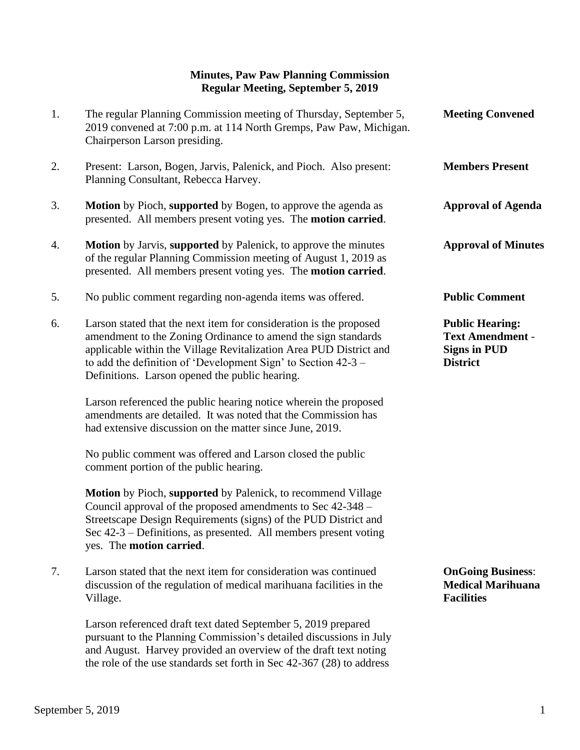## **Minutes, Paw Paw Planning Commission Regular Meeting, September 5, 2019**

| 1. | The regular Planning Commission meeting of Thursday, September 5,<br>2019 convened at 7:00 p.m. at 114 North Gremps, Paw Paw, Michigan.<br>Chairperson Larson presiding.                                                                                                                                                       | <b>Meeting Convened</b>                                                                     |
|----|--------------------------------------------------------------------------------------------------------------------------------------------------------------------------------------------------------------------------------------------------------------------------------------------------------------------------------|---------------------------------------------------------------------------------------------|
| 2. | Present: Larson, Bogen, Jarvis, Palenick, and Pioch. Also present:<br>Planning Consultant, Rebecca Harvey.                                                                                                                                                                                                                     | <b>Members Present</b>                                                                      |
| 3. | Motion by Pioch, supported by Bogen, to approve the agenda as<br>presented. All members present voting yes. The motion carried.                                                                                                                                                                                                | <b>Approval of Agenda</b>                                                                   |
| 4. | Motion by Jarvis, supported by Palenick, to approve the minutes<br>of the regular Planning Commission meeting of August 1, 2019 as<br>presented. All members present voting yes. The motion carried.                                                                                                                           | <b>Approval of Minutes</b>                                                                  |
| 5. | No public comment regarding non-agenda items was offered.                                                                                                                                                                                                                                                                      | <b>Public Comment</b>                                                                       |
| 6. | Larson stated that the next item for consideration is the proposed<br>amendment to the Zoning Ordinance to amend the sign standards<br>applicable within the Village Revitalization Area PUD District and<br>to add the definition of 'Development Sign' to Section $42-3$ –<br>Definitions. Larson opened the public hearing. | <b>Public Hearing:</b><br><b>Text Amendment -</b><br><b>Signs in PUD</b><br><b>District</b> |
|    | Larson referenced the public hearing notice wherein the proposed<br>amendments are detailed. It was noted that the Commission has<br>had extensive discussion on the matter since June, 2019.                                                                                                                                  |                                                                                             |
|    | No public comment was offered and Larson closed the public<br>comment portion of the public hearing.                                                                                                                                                                                                                           |                                                                                             |
|    | Motion by Pioch, supported by Palenick, to recommend Village<br>Council approval of the proposed amendments to Sec 42-348 -<br>Streetscape Design Requirements (signs) of the PUD District and<br>Sec $42-3$ – Definitions, as presented. All members present voting<br>yes. The motion carried.                               |                                                                                             |
| 7. | Larson stated that the next item for consideration was continued<br>discussion of the regulation of medical marihuana facilities in the<br>Village.                                                                                                                                                                            | <b>OnGoing Business:</b><br><b>Medical Marihuana</b><br><b>Facilities</b>                   |
|    | Larson referenced draft text dated September 5, 2019 prepared                                                                                                                                                                                                                                                                  |                                                                                             |

 pursuant to the Planning Commission's detailed discussions in July and August. Harvey provided an overview of the draft text noting the role of the use standards set forth in Sec 42-367 (28) to address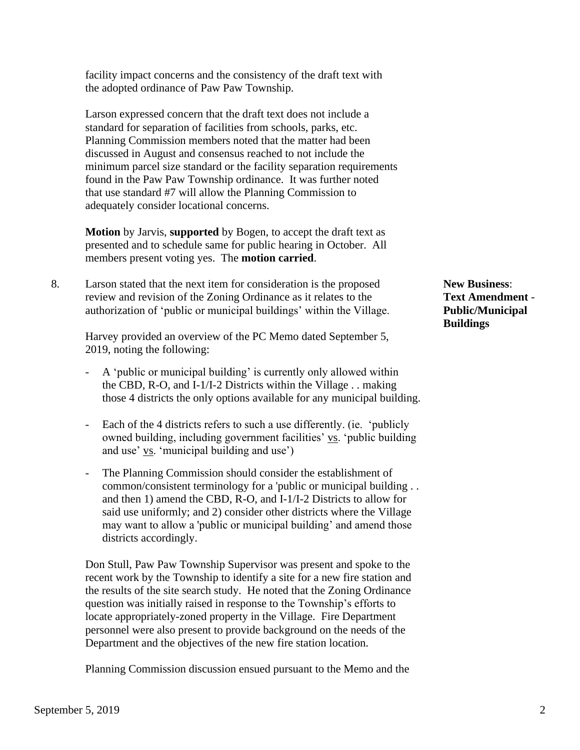facility impact concerns and the consistency of the draft text with the adopted ordinance of Paw Paw Township.

 Larson expressed concern that the draft text does not include a standard for separation of facilities from schools, parks, etc. Planning Commission members noted that the matter had been discussed in August and consensus reached to not include the minimum parcel size standard or the facility separation requirements found in the Paw Paw Township ordinance. It was further noted that use standard #7 will allow the Planning Commission to adequately consider locational concerns.

 **Motion** by Jarvis, **supported** by Bogen, to accept the draft text as presented and to schedule same for public hearing in October. All members present voting yes. The **motion carried**.

8. Larson stated that the next item for consideration is the proposed **New Business**: review and revision of the Zoning Ordinance as it relates to the **Text Amendment** authorization of 'public or municipal buildings' within the Village. **Public/Municipal**

 Harvey provided an overview of the PC Memo dated September 5, 2019, noting the following:

- A 'public or municipal building' is currently only allowed within the CBD, R-O, and I-1/I-2 Districts within the Village . . making those 4 districts the only options available for any municipal building.
- Each of the 4 districts refers to such a use differently. (ie. 'publicly owned building, including government facilities' vs. 'public building and use' vs. 'municipal building and use')
- The Planning Commission should consider the establishment of common/consistent terminology for a 'public or municipal building . . and then 1) amend the CBD, R-O, and I-1/I-2 Districts to allow for said use uniformly; and 2) consider other districts where the Village may want to allow a 'public or municipal building' and amend those districts accordingly.

Don Stull, Paw Paw Township Supervisor was present and spoke to the recent work by the Township to identify a site for a new fire station and the results of the site search study. He noted that the Zoning Ordinance question was initially raised in response to the Township's efforts to locate appropriately-zoned property in the Village. Fire Department personnel were also present to provide background on the needs of the Department and the objectives of the new fire station location.

Planning Commission discussion ensued pursuant to the Memo and the

**Buildings**